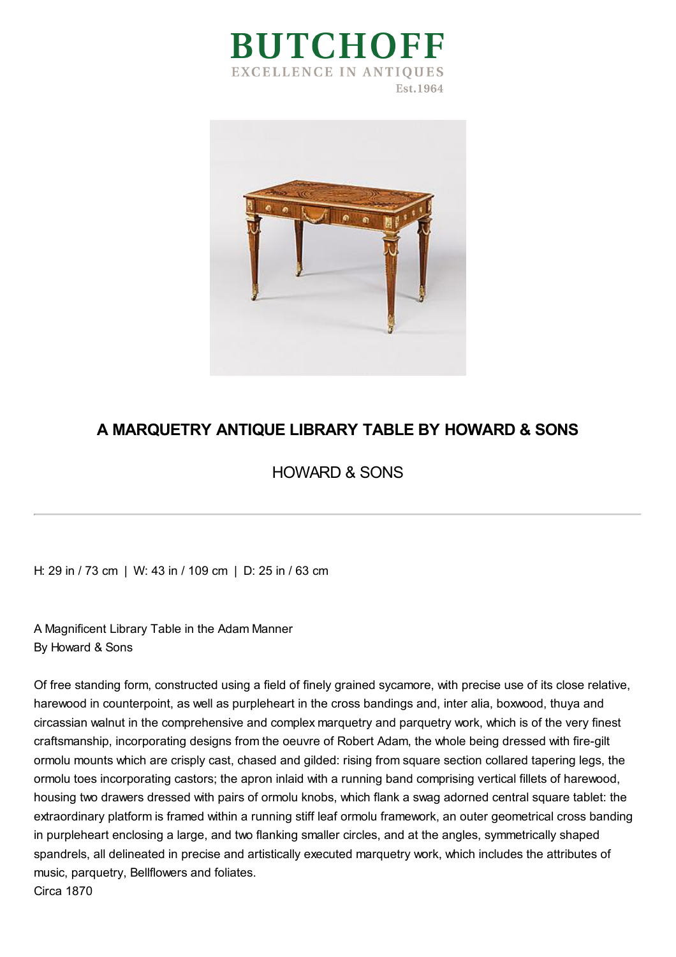



## **A MARQUETRY ANTIQUE LIBRARY TABLE BY HOWARD & SONS**

## HOWARD & SONS

H: 29 in / 73 cm | W: 43 in / 109 cm | D: 25 in / 63 cm

A Magnificent Library Table in the Adam Manner By Howard & Sons

Of free standing form, constructed using a field of finely grained sycamore, with precise use of its close relative, harewood in counterpoint, as well as purpleheart in the cross bandings and, inter alia, boxwood, thuya and circassian walnut in the comprehensive and complex marquetry and parquetry work, which is of the very finest craftsmanship, incorporating designs from the oeuvre of Robert Adam, the whole being dressed with fire-gilt ormolu mounts which are crisply cast, chased and gilded: rising from square section collared tapering legs, the ormolu toes incorporating castors; the apron inlaid with a running band comprising vertical fillets of harewood, housing two drawers dressed with pairs of ormolu knobs, which flank a swag adorned central square tablet: the extraordinary platform is framed within a running stiff leaf ormolu framework, an outer geometrical cross banding in purpleheart enclosing a large, and two flanking smaller circles, and at the angles, symmetrically shaped spandrels, all delineated in precise and artistically executed marquetry work, which includes the attributes of music, parquetry, Bellflowers and foliates. Circa 1870